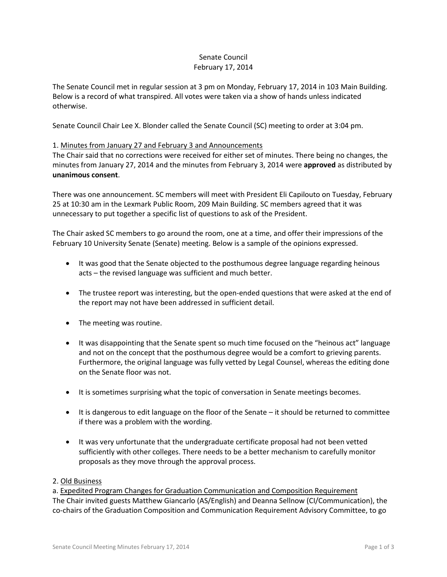# Senate Council February 17, 2014

The Senate Council met in regular session at 3 pm on Monday, February 17, 2014 in 103 Main Building. Below is a record of what transpired. All votes were taken via a show of hands unless indicated otherwise.

Senate Council Chair Lee X. Blonder called the Senate Council (SC) meeting to order at 3:04 pm.

# 1. Minutes from January 27 and February 3 and Announcements

The Chair said that no corrections were received for either set of minutes. There being no changes, the minutes from January 27, 2014 and the minutes from February 3, 2014 were **approved** as distributed by **unanimous consent**.

There was one announcement. SC members will meet with President Eli Capilouto on Tuesday, February 25 at 10:30 am in the Lexmark Public Room, 209 Main Building. SC members agreed that it was unnecessary to put together a specific list of questions to ask of the President.

The Chair asked SC members to go around the room, one at a time, and offer their impressions of the February 10 University Senate (Senate) meeting. Below is a sample of the opinions expressed.

- It was good that the Senate objected to the posthumous degree language regarding heinous acts – the revised language was sufficient and much better.
- The trustee report was interesting, but the open-ended questions that were asked at the end of the report may not have been addressed in sufficient detail.
- The meeting was routine.
- It was disappointing that the Senate spent so much time focused on the "heinous act" language and not on the concept that the posthumous degree would be a comfort to grieving parents. Furthermore, the original language was fully vetted by Legal Counsel, whereas the editing done on the Senate floor was not.
- It is sometimes surprising what the topic of conversation in Senate meetings becomes.
- It is dangerous to edit language on the floor of the Senate it should be returned to committee if there was a problem with the wording.
- It was very unfortunate that the undergraduate certificate proposal had not been vetted sufficiently with other colleges. There needs to be a better mechanism to carefully monitor proposals as they move through the approval process.

### 2. Old Business

a. Expedited Program Changes for Graduation Communication and Composition Requirement The Chair invited guests Matthew Giancarlo (AS/English) and Deanna Sellnow (CI/Communication), the co-chairs of the Graduation Composition and Communication Requirement Advisory Committee, to go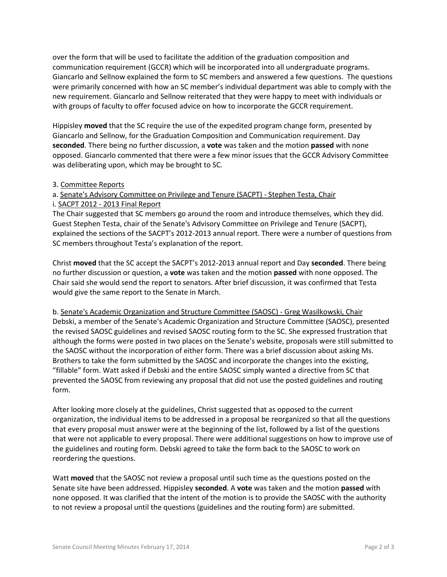over the form that will be used to facilitate the addition of the graduation composition and communication requirement (GCCR) which will be incorporated into all undergraduate programs. Giancarlo and Sellnow explained the form to SC members and answered a few questions. The questions were primarily concerned with how an SC member's individual department was able to comply with the new requirement. Giancarlo and Sellnow reiterated that they were happy to meet with individuals or with groups of faculty to offer focused advice on how to incorporate the GCCR requirement.

Hippisley **moved** that the SC require the use of the expedited program change form, presented by Giancarlo and Sellnow, for the Graduation Composition and Communication requirement. Day **seconded**. There being no further discussion, a **vote** was taken and the motion **passed** with none opposed. Giancarlo commented that there were a few minor issues that the GCCR Advisory Committee was deliberating upon, which may be brought to SC.

### 3. Committee Reports

## a. Senate's Advisory Committee on Privilege and Tenure (SACPT) - Stephen Testa, Chair i. SACPT 2012 - 2013 Final Report

The Chair suggested that SC members go around the room and introduce themselves, which they did. Guest Stephen Testa, chair of the Senate's Advisory Committee on Privilege and Tenure (SACPT), explained the sections of the SACPT's 2012-2013 annual report. There were a number of questions from SC members throughout Testa's explanation of the report.

Christ **moved** that the SC accept the SACPT's 2012-2013 annual report and Day **seconded**. There being no further discussion or question, a **vote** was taken and the motion **passed** with none opposed. The Chair said she would send the report to senators. After brief discussion, it was confirmed that Testa would give the same report to the Senate in March.

b. Senate's Academic Organization and Structure Committee (SAOSC) - Greg Wasilkowski, Chair Debski, a member of the Senate's Academic Organization and Structure Committee (SAOSC), presented the revised SAOSC guidelines and revised SAOSC routing form to the SC. She expressed frustration that although the forms were posted in two places on the Senate's website, proposals were still submitted to the SAOSC without the incorporation of either form. There was a brief discussion about asking Ms. Brothers to take the form submitted by the SAOSC and incorporate the changes into the existing, "fillable" form. Watt asked if Debski and the entire SAOSC simply wanted a directive from SC that prevented the SAOSC from reviewing any proposal that did not use the posted guidelines and routing form.

After looking more closely at the guidelines, Christ suggested that as opposed to the current organization, the individual items to be addressed in a proposal be reorganized so that all the questions that every proposal must answer were at the beginning of the list, followed by a list of the questions that were not applicable to every proposal. There were additional suggestions on how to improve use of the guidelines and routing form. Debski agreed to take the form back to the SAOSC to work on reordering the questions.

Watt **moved** that the SAOSC not review a proposal until such time as the questions posted on the Senate site have been addressed. Hippisley **seconded**. A **vote** was taken and the motion **passed** with none opposed. It was clarified that the intent of the motion is to provide the SAOSC with the authority to not review a proposal until the questions (guidelines and the routing form) are submitted.